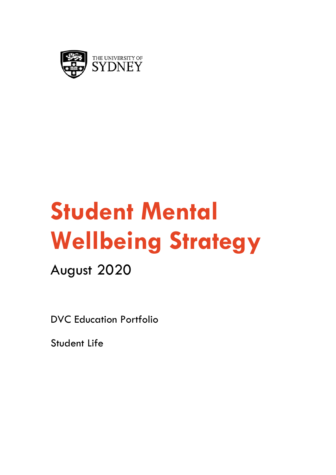

# **Student Mental Wellbeing Strategy**

August 2020

DVC Education Portfolio

Student Life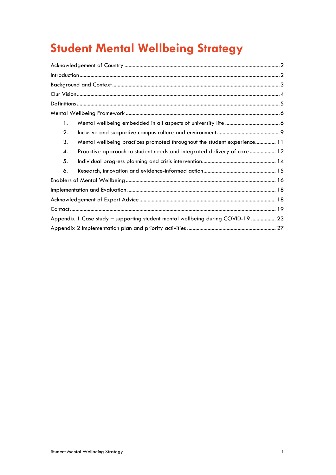# **Student Mental Wellbeing Strategy**

| 1.                                                                              |
|---------------------------------------------------------------------------------|
| 2.                                                                              |
| 3.<br>Mental wellbeing practices promoted throughout the student experience 11  |
| Proactive approach to student needs and integrated delivery of care  12<br>4.   |
| 5.                                                                              |
| 6.                                                                              |
|                                                                                 |
|                                                                                 |
|                                                                                 |
|                                                                                 |
| Appendix 1 Case study - supporting student mental wellbeing during COVID-19  23 |
|                                                                                 |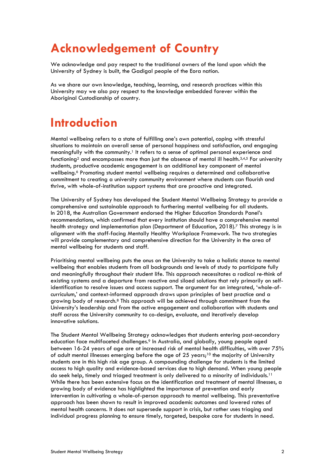# **Acknowledgement of Country**

We acknowledge and pay respect to the traditional owners of the land upon which the University of Sydney is built, the Gadigal people of the Eora nation.

As we share our own knowledge, teaching, learning, and research practices within this University may we also pay respect to the knowledge embedded forever within the Aboriginal Custodianship of country.

### **Introduction**

Mental wellbeing refers to a state of fulfilling one's own potential, coping with stressful situations to maintain an overall sense of personal happiness and satisfaction, and engaging meaningfully with the community.<sup>1</sup> It refers to a sense of optimal personal experience and functioning<sup>2</sup> and encompasses more than just the absence of mental ill health.<sup>3,4,5</sup> For university students, productive academic engagement is an additional key component of mental wellbeing.<sup>6</sup> Promoting student mental wellbeing requires a determined and collaborative commitment to creating a university community environment where students can flourish and thrive, with whole-of-institution support systems that are proactive and integrated.

The University of Sydney has developed the Student Mental Wellbeing Strategy to provide a comprehensive and sustainable approach to furthering mental wellbeing for all students. In 2018, the Australian Government endorsed the Higher Education Standards Panel's recommendations, which confirmed that every institution should have a comprehensive mental health strategy and implementation plan (Department of Education, 2018).<sup>7</sup> This strategy is in alignment with the staff-facing Mentally Healthy Workplace Framework. The two strategies will provide complementary and comprehensive direction for the University in the area of mental wellbeing for students and staff.

Prioritising mental wellbeing puts the onus on the University to take a holistic stance to mental wellbeing that enables students from all backgrounds and levels of study to participate fully and meaningfully throughout their student life. This approach necessitates a radical re-think of existing systems and a departure from reactive and siloed solutions that rely primarily on selfidentification to resolve issues and access support. The argument for an integrated, 'whole-ofcurriculum,' and context-informed approach draws upon principles of best practice and a growing body of research.<sup>8</sup> This approach will be achieved through commitment from the University's leadership and from the active engagement and collaboration with students and staff across the University community to co-design, evaluate, and iteratively develop innovative solutions.

The Student Mental Wellbeing Strategy acknowledges that students entering post-secondary education face multifaceted challenges.<sup>9</sup> In Australia, and globally, young people aged between 16-24 years of age are at increased risk of mental health difficulties, with over 75% of adult mental illnesses emerging before the age of 25 years; <sup>10</sup> the majority of University students are in this high risk age group. A compounding challenge for students is the limited access to high quality and evidence-based services due to high demand. When young people do seek help, timely and triaged treatment is only delivered to a minority of individuals.<sup>11</sup> While there has been extensive focus on the identification and treatment of mental illnesses, a growing body of evidence has highlighted the importance of prevention and early intervention in cultivating a whole-of-person approach to mental wellbeing. This preventative approach has been shown to result in improved academic outcomes and lowered rates of mental health concerns. It does not supersede support in crisis, but rather uses triaging and individual progress planning to ensure timely, targeted, bespoke care for students in need.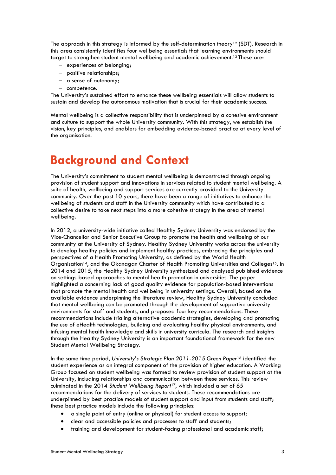The approach in this strategy is informed by the self-determination theory<sup>12</sup> (SDT). Research in this area consistently identifies four wellbeing essentials that learning environments should target to strengthen student mental wellbeing and academic achievement. <sup>13</sup> These are:

- experiences of belonging;
- positive relationships;
- a sense of autonomy;
- competence.

The University's sustained effort to enhance these wellbeing essentials will allow students to sustain and develop the autonomous motivation that is crucial for their academic success.

Mental wellbeing is a collective responsibility that is underpinned by a cohesive environment and culture to support the whole University community. With this strategy, we establish the vision, key principles, and enablers for embedding evidence-based practice at every level of the organisation.

# **Background and Context**

The University's commitment to student mental wellbeing is demonstrated through ongoing provision of student support and innovations in services related to student mental wellbeing. A suite of health, wellbeing and support services are currently provided to the University community. Over the past 10 years, there have been a range of initiatives to enhance the wellbeing of students and staff in the University community which have contributed to a collective desire to take next steps into a more cohesive strategy in the area of mental wellbeing.

In 2012, a university-wide initiative called Healthy Sydney University was endorsed by the Vice-Chancellor and Senior Executive Group to promote the health and wellbeing of our community at the University of Sydney. Healthy Sydney University works across the university to develop healthy policies and implement healthy practices, embracing the principles and perspectives of a Health Promoting University, as defined by the World Health Organisation<sup>14</sup>, and the Okanagan Charter of Health Promoting Universities and Colleges<sup>15</sup>. In 2014 and 2015, the Healthy Sydney University synthesized and analysed published evidence on settings-based approaches to mental health promotion in universities. The paper highlighted a concerning lack of good quality evidence for population-based interventions that promote the mental health and wellbeing in university settings. Overall, based on the available evidence underpinning the literature review, Healthy Sydney University concluded that mental wellbeing can be promoted through the development of supportive university environments for staff and students, and proposed four key recommendations. These recommendations include trialing alternative academic strategies, developing and promoting the use of eHealth technologies, building and evaluating healthy physical environments, and infusing mental health knowledge and skills in university curricula. The research and insights through the Healthy Sydney University is an important foundational framework for the new Student Mental Wellbeing Strategy.

In the same time period, *University's Strategic Plan 2011-2015 Green Paper*<sup>16</sup> identified the student experience as an integral component of the provision of higher education. A Working Group focused on student wellbeing was formed to review provision of student support at the University, including relationships and communication between these services. This review culminated in the 2014 *Student Wellbeing Report*17, which included a set of 65 recommendations for the delivery of services to students. These recommendations are underpinned by best practice models of student support and input from students and staff; these best practice models include the following principles:

- a single point of entry (online or physical) for student access to support;
- clear and accessible policies and processes to staff and students;
- training and development for student-facing professional and academic staff;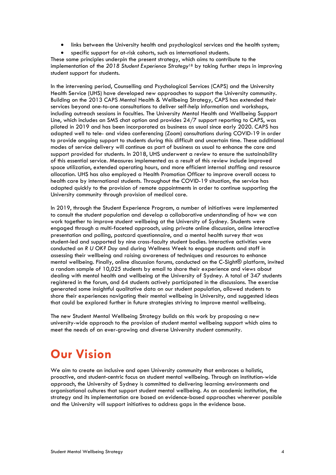- links between the University health and psychological services and the health system;
- specific support for at-risk cohorts, such as international students.

These same principles underpin the present strategy, which aims to contribute to the implementation of the *2018 Student Experience Strategy*<sup>18</sup> by taking further steps in improving student support for students.

In the intervening period, Counselling and Psychological Services (CAPS) and the University Health Service (UHS) have developed new approaches to support the University community. Building on the 2013 CAPS Mental Health & Wellbeing Strategy, CAPS has extended their services beyond one-to-one consultations to deliver self-help information and workshops, including outreach sessions in faculties. The University Mental Health and Wellbeing Support Line, which includes an SMS chat option and provides 24/7 support reporting to CAPS, was piloted in 2019 and has been incorporated as business as usual since early 2020. CAPS has adapted well to tele- and video conferencing (Zoom) consultations during COVID-19 in order to provide ongoing support to students during this difficult and uncertain time. These additional modes of service delivery will continue as part of business as usual to enhance the care and support provided for students. In 2018, UHS underwent a review to ensure the sustainability of this essential service. Measures implemented as a result of this review include improved space utilization, extended operating hours, and more efficient internal staffing and resource allocation. UHS has also employed a Health Promotion Officer to improve overall access to health care by international students. Throughout the COVID-19 situation, the service has adapted quickly to the provision of remote appointments in order to continue supporting the University community through provision of medical care.

In 2019, through the Student Experience Program, a number of initiatives were implemented to consult the student population and develop a collaborative understanding of how we can work together to improve student wellbeing at the University of Sydney. Students were engaged through a multi-faceted approach, using private online discussion, online interactive presentation and polling, postcard questionnaire, and a mental health survey that was student-led and supported by nine cross-faculty student bodies. Interactive activities were conducted on *R U OK? Day* and during Wellness Week to engage students and staff in assessing their wellbeing and raising awareness of techniques and resources to enhance mental wellbeing. Finally, online discussion forums, conducted on the C-Sight® platform, invited a random sample of 10,025 students by email to share their experience and views about dealing with mental health and wellbeing at the University of Sydney. A total of 347 students registered in the forum, and 64 students actively participated in the discussions. The exercise generated some insightful qualitative data on our student population, allowed students to share their experiences navigating their mental wellbeing in University, and suggested ideas that could be explored further in future strategies striving to improve mental wellbeing.

The new Student Mental Wellbeing Strategy builds on this work by proposing a new university-wide approach to the provision of student mental wellbeing support which aims to meet the needs of an ever-growing and diverse University student community.

### **Our Vision**

We aim to create an inclusive and open University community that embraces a holistic, proactive, and student-centric focus on student mental wellbeing. Through an institution-wide approach, the University of Sydney is committed to delivering learning environments and organisational cultures that support student mental wellbeing. As an academic institution, the strategy and its implementation are based on evidence-based approaches wherever possible and the University will support initiatives to address gaps in the evidence base.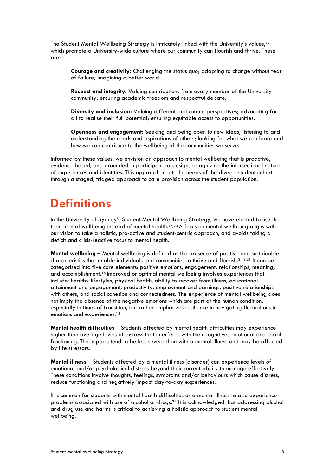The Student Mental Wellbeing Strategy is intricately linked with the University's values,<sup>19</sup> which promote a University-wide culture where our community can flourish and thrive. These are:

**Courage and creativity:** Challenging the status quo; adapting to change without fear of failure; imagining a better world.

**Respect and integrity:** Valuing contributions from every member of the University community; ensuring academic freedom and respectful debate.

**Diversity and inclusion:** Valuing different and unique perspectives; advocating for all to realise their full potential; ensuring equitable access to opportunities.

**Openness and engagement:** Seeking and being open to new ideas; listening to and understanding the needs and aspirations of others; looking for what we can learn and how we can contribute to the wellbeing of the communities we serve.

Informed by these values, we envision an approach to mental wellbeing that is proactive, evidence-based, and grounded in participant co-design, recognizing the intersectional nature of experiences and identities. This approach meets the needs of the diverse student cohort through a staged, triaged approach to care provision across the student population.

### **Definitions**

In the University of Sydney's Student Mental Wellbeing Strategy, we have elected to use the term mental wellbeing instead of mental health.13,20 A focus on mental wellbeing aligns with our vision to take a holistic, pro-active and student-centric approach, and avoids taking a deficit and crisis-reactive focus to mental health.

**Mental wellbeing** – Mental wellbeing is defined as the presence of positive and sustainable characteristics that enable individuals and communities to thrive and flourish.3,13,21 It can be categorised into five core elements: positive emotions, engagement, relationships, meaning, and accomplishment.<sup>16</sup> Improved or optimal mental wellbeing involves experiences that include: healthy lifestyles, physical health, ability to recover from illness, educational attainment and engagement, productivity, employment and earnings, positive relationships with others, and social cohesion and connectedness. The experience of mental wellbeing does not imply the absence of the negative emotions which are part of the human condition, especially in times of transition, but rather emphasizes resilience in navigating fluctuations in emotions and experiences. 13

**Mental health difficulties** – Students affected by mental health difficulties may experience higher than average levels of distress that interferes with their cognitive, emotional and social functioning. The impacts tend to be less severe than with a mental illness and may be affected by life stressors.

**Mental illness** – Students affected by a mental illness (disorder) can experience levels of emotional and/or psychological distress beyond their current ability to manage effectively. These conditions involve thoughts, feelings, symptoms and/or behaviours which cause distress, reduce functioning and negatively impact day-to-day experiences.

It is common for students with mental health difficulties or a mental illness to also experience problems associated with use of alcohol or drugs.<sup>22</sup> It is acknowledged that addressing alcohol and drug use and harms is critical to achieving a holistic approach to student mental wellbeing.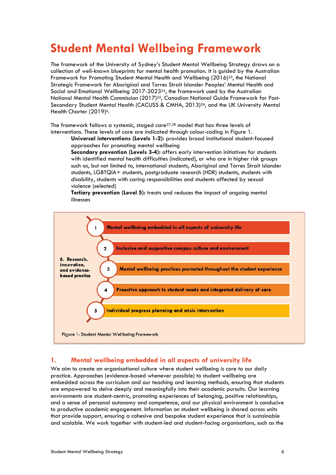### **Student Mental Wellbeing Framework**

The framework of the University of Sydney's Student Mental Wellbeing Strategy draws on a collection of well-known blueprints for mental health promotion. It is guided by the Australian Framework for Promoting Student Mental Health and Wellbeing (2016)<sup>23</sup>, the National Strategic Framework for Aboriginal and Torres Strait Islander Peoples' Mental Health and Social and Emotional Wellbeing 2017-202324, the framework used by the Australian National Mental Health Commission (2017)<sup>25</sup>, Canadian National Guide Framework for Post-Secondary Student Mental Health (CACUSS & CMHA, 2013)26, and the UK University Mental Health Charter (2019)<sup>6</sup>.

The framework follows a systemic, staged care27,28 model that has three levels of interventions. These levels of care are indicated through colour-coding in Figure 1.

**Universal interventions (Levels 1-2):** provides broad institutional student-focused approaches for promoting mental wellbeing

**Secondary prevention (Levels 3-4):** offers early intervention initiatives for students with identified mental health difficulties (indicated), or who are in higher risk groups such as, but not limited to, international students, Aboriginal and Torres Strait Islander students, LGBTQIA+ students, postgraduate research (HDR) students, students with disability, students with caring responsibilities and students affected by sexual violence (selected)

**Tertiary prevention (Level 5):** treats and reduces the impact of ongoing mental illnesses



#### **1. Mental wellbeing embedded in all aspects of university life**

We aim to create an organisational culture where student wellbeing is core to our daily practice. Approaches (evidence-based whenever possible) to student wellbeing are embedded across the curriculum and our teaching and learning methods, ensuring that students are empowered to delve deeply and meaningfully into their academic pursuits. Our learning environments are student-centric, promoting experiences of belonging, positive relationships, and a sense of personal autonomy and competence, and our physical environment is conducive to productive academic engagement. Information on student wellbeing is shared across units that provide support, ensuring a cohesive and bespoke student experience that is sustainable and scalable. We work together with student-led and student-facing organisations, such as the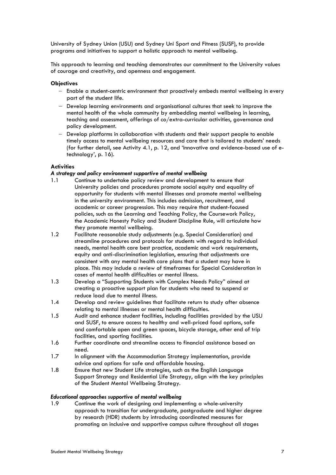University of Sydney Union (USU) and Sydney Uni Sport and Fitness (SUSF), to provide programs and initiatives to support a holistic approach to mental wellbeing.

This approach to learning and teaching demonstrates our commitment to the University values of courage and creativity, and openness and engagement.

#### **Objectives**

- Enable a student-centric environment that proactively embeds mental wellbeing in every part of the student life.
- Develop learning environments and organisational cultures that seek to improve the mental health of the whole community by embedding mental wellbeing in learning, teaching and assessment, offerings of co/extra-curricular activities, governance and policy development.
- Develop platforms in collaboration with students and their support people to enable timely access to mental wellbeing resources and care that is tailored to students' needs (for further detail, see Activity 4.1, p. 12, and 'Innovative and evidence-based use of etechnology', p. 16).

#### **Activities**

#### *A strategy and policy environment supportive of mental wellbeing*

- 1.1 Continue to undertake policy review and development to ensure that University policies and procedures promote social equity and equality of opportunity for students with mental illnesses and promote mental wellbeing in the university environment. This includes admission, recruitment, and academic or career progression. This may require that student-focused policies, such as the Learning and Teaching Policy, the Coursework Policy, the Academic Honesty Policy and Student Discipline Rule, will articulate how they promote mental wellbeing.
- 1.2 Facilitate reasonable study adjustments (e.g. Special Consideration) and streamline procedures and protocols for students with regard to individual needs, mental health care best practice, academic and work requirements, equity and anti-discrimination legislation, ensuring that adjustments are consistent with any mental health care plans that a student may have in place. This may include a review of timeframes for Special Consideration in cases of mental health difficulties or mental illness.
- 1.3 Develop a "Supporting Students with Complex Needs Policy" aimed at creating a proactive support plan for students who need to suspend or reduce load due to mental illness.
- 1.4 Develop and review guidelines that facilitate return to study after absence relating to mental illnesses or mental health difficulties.
- 1.5 Audit and enhance student facilities, including facilities provided by the USU and SUSF, to ensure access to healthy and well-priced food options, safe and comfortable open and green spaces, bicycle storage, other end of trip facilities, and sporting facilities.
- 1.6 Further coordinate and streamline access to financial assistance based on need.
- 1.7 In alignment with the Accommodation Strategy implementation, provide advice and options for safe and affordable housing.
- 1.8 Ensure that new Student Life strategies, such as the English Language Support Strategy and Residential Life Strategy, align with the key principles of the Student Mental Wellbeing Strategy.

#### *Educational approaches supportive of mental wellbeing*

1.9 Continue the work of designing and implementing a whole-university approach to transition for undergraduate, postgraduate and higher degree by research (HDR) students by introducing coordinated measures for promoting an inclusive and supportive campus culture throughout all stages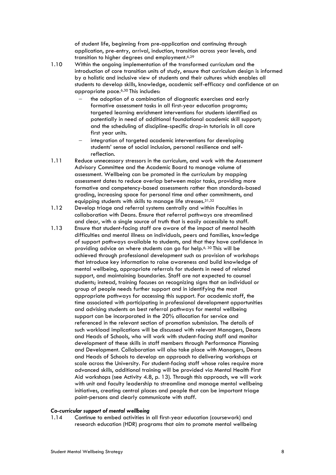of student life, beginning from pre-application and continuing through application, pre-entry, arrival, induction, transition across year levels, and transition to higher degrees and employment.6,29

- 1.10 Within the ongoing implementation of the transformed curriculum and the introduction of core transition units of study, ensure that curriculum design is informed by a holistic and inclusive view of students and their cultures which enables all students to develop skills, knowledge, academic self-efficacy and confidence at an appropriate pace.6,30 This includes:
	- the adoption of a combination of diagnostic exercises and early formative assessment tasks in all first-year education programs; targeted learning enrichment interventions for students identified as potentially in need of additional foundational academic skill support; and the scheduling of discipline-specific drop-in tutorials in all core first year units.
	- integration of targeted academic interventions for developing students' sense of social inclusion, personal resilience and selfreflection.
- 1.11 Reduce unnecessary stressors in the curriculum, and work with the Assessment Advisory Committee and the Academic Board to manage volume of assessment. Wellbeing can be promoted in the curriculum by mapping assessment dates to reduce overlap between major tasks, providing more formative and competency-based assessments rather than standards-based grading, increasing space for personal time and other commitments, and equipping students with skills to manage life stresses.31,32
- 1.12 Develop triage and referral systems centrally and within Faculties in collaboration with Deans. Ensure that referral pathways are streamlined and clear, with a single source of truth that is easily accessible to staff.
- 1.13 Ensure that student-facing staff are aware of the impact of mental health difficulties and mental illness on individuals, peers and families, knowledge of support pathways available to students, and that they have confidence in providing advice on where students can go for help. 6, 30 This will be achieved through professional development such as provision of workshops that introduce key information to raise awareness and build knowledge of mental wellbeing, appropriate referrals for students in need of related support, and maintaining boundaries. Staff are not expected to counsel students; instead, training focuses on recognizing signs that an individual or group of people needs further support and in identifying the most appropriate pathways for accessing this support. For academic staff, the time associated with participating in professional development opportunities and advising students on best referral pathways for mental wellbeing support can be incorporated in the 20% allocation for service and referenced in the relevant section of promotion submission. The details of such workload implications will be discussed with relevant Managers, Deans and Heads of Schools, who will work with student-facing staff and monitor development of these skills in staff members through Performance Planning and Development. Collaboration will also take place with Managers, Deans and Heads of Schools to develop an approach to delivering workshops at scale across the University. For student-facing staff whose roles require more advanced skills, additional training will be provided via Mental Health First Aid workshops (see Activity 4.8, p. 13). Through this approach, we will work with unit and faculty leadership to streamline and manage mental wellbeing initiatives, creating central places and people that can be important triage point-persons and clearly communicate with staff.

#### *Co-curricular support of mental wellbeing*

1.14 Continue to embed activities in all first-year education (coursework) and research education (HDR) programs that aim to promote mental wellbeing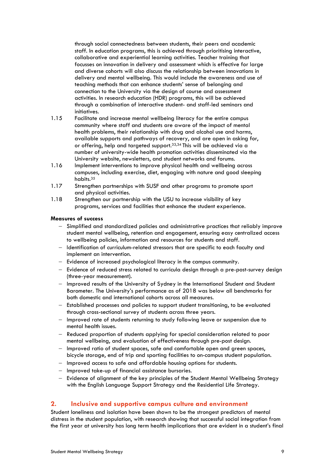through social connectedness between students, their peers and academic staff. In education programs, this is achieved through prioritising interactive, collaborative and experiential learning activities. Teacher training that focusses on innovation in delivery and assessment which is effective for large and diverse cohorts will also discuss the relationship between innovations in delivery and mental wellbeing. This would include the awareness and use of teaching methods that can enhance students' sense of belonging and connection to the University via the design of course and assessment activities. In research education (HDR) programs, this will be achieved through a combination of interactive student- and staff-led seminars and initiatives.

- 1.15 Facilitate and increase mental wellbeing literacy for the entire campus community where staff and students are aware of the impact of mental health problems, their relationship with drug and alcohol use and harms, available supports and pathways of recovery, and are open in asking for, or offering, help and targeted support. 33,34 This will be achieved via a number of university-wide health promotion activities disseminated via the University website, newsletters, and student networks and forums.
- 1.16 Implement interventions to improve physical health and wellbeing across campuses, including exercise, diet, engaging with nature and good sleeping habits.<sup>35</sup>
- 1.17 Strengthen partnerships with SUSF and other programs to promote sport and physical activities.
- 1.18 Strengthen our partnership with the USU to increase visibility of key programs, services and facilities that enhance the student experience.

#### **Measures of success**

- Simplified and standardized policies and administrative practices that reliably improve student mental wellbeing, retention and engagement, ensuring easy centralized access to wellbeing policies, information and resources for students and staff.
- Identification of curriculum-related stressors that are specific to each faculty and implement an intervention.
- Evidence of increased psychological literacy in the campus community.
- Evidence of reduced stress related to curricula design through a pre-post-survey design (three-year measurement).
- Improved results of the University of Sydney in the International Student and Student Barometer. The University's performance as of 2018 was below all benchmarks for both domestic and international cohorts across all measures.
- Established processes and policies to support student transitioning, to be evaluated through cross-sectional survey of students across three years.
- Improved rate of students returning to study following leave or suspension due to mental health issues.
- Reduced proportion of students applying for special consideration related to poor mental wellbeing, and evaluation of effectiveness through pre-post design.
- Improved ratio of student spaces, safe and comfortable open and green spaces, bicycle storage, end of trip and sporting facilities to on-campus student population.
- Improved access to safe and affordable housing options for students.
- Improved take-up of financial assistance bursaries.
- Evidence of alignment of the key principles of the Student Mental Wellbeing Strategy with the English Language Support Strategy and the Residential Life Strategy.

#### **2. Inclusive and supportive campus culture and environment**

Student loneliness and isolation have been shown to be the strongest predictors of mental distress in the student population, with research showing that successful social integration from the first year at university has long term health implications that are evident in a student's final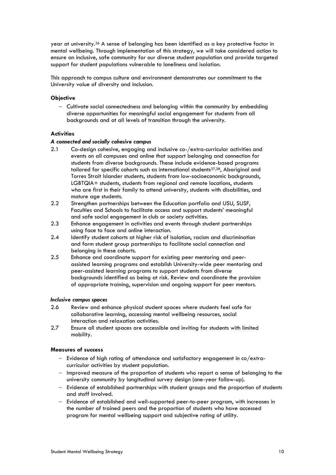year at university.36 A sense of belonging has been identified as a key protective factor in mental wellbeing. Through implementation of this strategy, we will take considered action to ensure an inclusive, safe community for our diverse student population and provide targeted support for student populations vulnerable to loneliness and isolation.

This approach to campus culture and environment demonstrates our commitment to the University value of diversity and inclusion.

#### **Objective**

- Cultivate social connectedness and belonging within the community by embedding diverse opportunities for meaningful social engagement for students from all backgrounds and at all levels of transition through the university.

#### **Activities**

#### *A connected and socially cohesive campus*

- 2.1 Co-design cohesive, engaging and inclusive co-/extra-curricular activities and events on all campuses and online that support belonging and connection for students from diverse backgrounds. These include evidence-based programs tailored for specific cohorts such as international students<sup>37,38</sup>, Aboriginal and Torres Strait Islander students, students from low-socioeconomic backgrounds, LGBTQIA+ students, students from regional and remote locations, students who are first in their family to attend university, students with disabilities, and mature age students.
- 2.2 Strengthen partnerships between the Education portfolio and USU, SUSF, Faculties and Schools to facilitate access and support students' meaningful and safe social engagement in club or society activities.
- 2.3 Enhance engagement in activities and events through student partnerships using face to face and online interaction.
- 2.4 Identify student cohorts at higher risk of isolation, racism and discrimination and form student group partnerships to facilitate social connection and belonging in these cohorts.
- 2.5 Enhance and coordinate support for existing peer mentoring and peerassisted learning programs and establish University-wide peer mentoring and peer-assisted learning programs to support students from diverse backgrounds identified as being at risk. Review and coordinate the provision of appropriate training, supervision and ongoing support for peer mentors.

#### *Inclusive campus spaces*

- 2.6 Review and enhance physical student spaces where students feel safe for collaborative learning, accessing mental wellbeing resources, social interaction and relaxation activities.
- 2.7 Ensure all student spaces are accessible and inviting for students with limited mobility.

#### **Measures of success**

- Evidence of high rating of attendance and satisfactory engagement in co/extracurricular activities by student population.
- Improved measure of the proportion of students who report a sense of belonging to the university community by longitudinal survey design (one-year follow-up).
- Evidence of established partnerships with student groups and the proportion of students and staff involved.
- Evidence of established and well-supported peer-to-peer program, with increases in the number of trained peers and the proportion of students who have accessed program for mental wellbeing support and subjective rating of utility.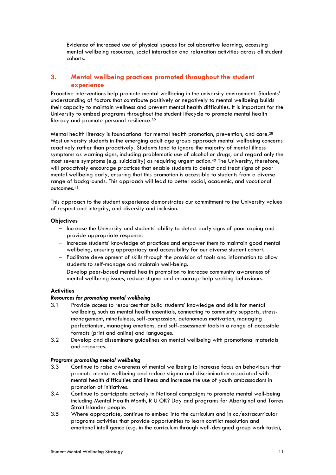- Evidence of increased use of physical spaces for collaborative learning, accessing mental wellbeing resources, social interaction and relaxation activities across all student cohorts.

#### **3. Mental wellbeing practices promoted throughout the student experience**

Proactive interventions help promote mental wellbeing in the university environment. Students' understanding of factors that contribute positively or negatively to mental wellbeing builds their capacity to maintain wellness and prevent mental health difficulties. It is important for the University to embed programs throughout the student lifecycle to promote mental health literacy and promote personal resilience.<sup>39</sup>

Mental health literacy is foundational for mental health promotion, prevention, and care.<sup>28</sup> Most university students in the emerging adult age group approach mental wellbeing concerns reactively rather than proactively. Students tend to ignore the majority of mental illness symptoms as warning signs, including problematic use of alcohol or drugs, and regard only the most severe symptoms (e.g. suicidality) as requiring urgent action.<sup>40</sup> The University, therefore, will proactively encourage practices that enable students to detect and treat signs of poor mental wellbeing early, ensuring that this promotion is accessible to students from a diverse range of backgrounds. This approach will lead to better social, academic, and vocational outcomes.<sup>41</sup>

This approach to the student experience demonstrates our commitment to the University values of respect and integrity, and diversity and inclusion.

#### **Objectives**

- Increase the University and students' ability to detect early signs of poor coping and provide appropriate response.
- Increase students' knowledge of practices and empower them to maintain good mental wellbeing, ensuring appropriacy and accessibility for our diverse student cohort.
- Facilitate development of skills through the provision of tools and information to allow students to self-manage and maintain well-being.
- Develop peer-based mental health promotion to increase community awareness of mental wellbeing issues, reduce stigma and encourage help-seeking behaviours.

#### **Activities**

#### *Resources for promoting mental wellbeing*

- 3.1 Provide access to resources that build students' knowledge and skills for mental wellbeing, such as mental health essentials, connecting to community supports, stressmanagement, mindfulness, self-compassion, autonomous motivation, managing perfectionism, managing emotions, and self-assessment tools in a range of accessible formats (print and online) and languages.
- 3.2 Develop and disseminate guidelines on mental wellbeing with promotional materials and resources.

#### *Programs promoting mental wellbeing*

- 3.3 Continue to raise awareness of mental wellbeing to increase focus on behaviours that promote mental wellbeing and reduce stigma and discrimination associated with mental health difficulties and illness and increase the use of youth ambassadors in promotion of initiatives.
- 3.4 Continue to participate actively in National campaigns to promote mental well-being including Mental Health Month, R U OK? Day and programs for Aboriginal and Torres Strait Islander people.
- 3.5 Where appropriate, continue to embed into the curriculum and in co/extracurricular programs activities that provide opportunities to learn conflict resolution and emotional intelligence (e.g. in the curriculum through well-designed group work tasks),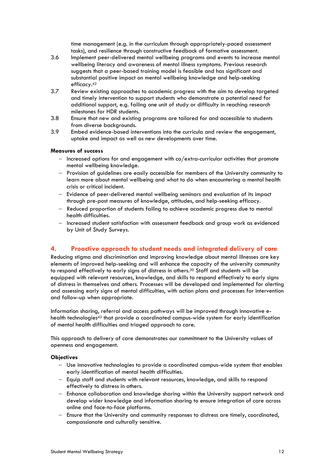time management (e.g. in the curriculum through appropriately-paced assessment tasks), and resilience through constructive feedback of formative assessment.

- 3.6 Implement peer-delivered mental wellbeing programs and events to increase mental wellbeing literacy and awareness of mental illness symptoms. Previous research suggests that a peer-based training model is feasible and has significant and substantial positive impact on mental wellbeing knowledge and help-seeking efficacy.<sup>42</sup>
- 3.7 Review existing approaches to academic progress with the aim to develop targeted and timely intervention to support students who demonstrate a potential need for additional support, e.g. failing one unit of study or difficulty in reaching research milestones for HDR students.
- 3.8 Ensure that new and existing programs are tailored for and accessible to students from diverse backgrounds.
- 3.9 Embed evidence-based interventions into the curricula and review the engagement, uptake and impact as well as new developments over time.

#### **Measures of success**

- Increased options for and engagement with co/extra-curricular activities that promote mental wellbeing knowledge.
- Provision of guidelines are easily accessible for members of the University community to learn more about mental wellbeing and what to do when encountering a mental health crisis or critical incident.
- Evidence of peer-delivered mental wellbeing seminars and evaluation of its impact through pre-post measures of knowledge, attitudes, and help-seeking efficacy.
- Reduced proportion of students failing to achieve academic progress due to mental health difficulties.
- Increased student satisfaction with assessment feedback and group work as evidenced by Unit of Study Surveys.

#### **4. Proactive approach to student needs and integrated delivery of care**

Reducing stigma and discrimination and improving knowledge about mental illnesses are key elements of improved help-seeking and will enhance the capacity of the university community to respond effectively to early signs of distress in others.30 Staff and students will be equipped with relevant resources, knowledge, and skills to respond effectively to early signs of distress in themselves and others. Processes will be developed and implemented for alerting and assessing early signs of mental difficulties, with action plans and processes for intervention and follow-up when appropriate.

Information sharing, referral and access pathways will be improved through innovative ehealth technologies<sup>43</sup> that provide a coordinated campus-wide system for early identification of mental health difficulties and triaged approach to care.

This approach to delivery of care demonstrates our commitment to the University values of openness and engagement.

#### **Objectives**

- Use innovative technologies to provide a coordinated campus-wide system that enables early identification of mental health difficulties.
- Equip staff and students with relevant resources, knowledge, and skills to respond effectively to distress in others.
- Enhance collaboration and knowledge sharing within the University support network and develop wider knowledge and information sharing to ensure integration of care across online and face-to-face platforms.
- Ensure that the University and community responses to distress are timely, coordinated, compassionate and culturally sensitive.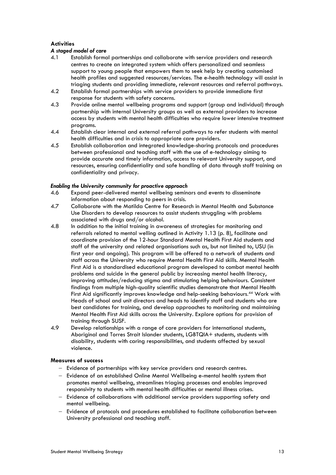#### **Activities**

#### *A staged model of care*

- 4.1 Establish formal partnerships and collaborate with service providers and research centres to create an integrated system which offers personalized and seamless support to young people that empowers them to seek help by creating customised health profiles and suggested resources/services. The e-health technology will assist in triaging students and providing immediate, relevant resources and referral pathways.
- 4.2 Establish formal partnerships with service providers to provide immediate first response for students with safety concerns.
- 4.3 Provide online mental wellbeing programs and support (group and individual) through partnership with internal University groups as well as external providers to increase access by students with mental health difficulties who require lower intensive treatment programs.
- 4.4 Establish clear internal and external referral pathways to refer students with mental health difficulties and in crisis to appropriate care providers.
- 4.5 Establish collaboration and integrated knowledge-sharing protocols and procedures between professional and teaching staff with the use of e-technology aiming to provide accurate and timely information, access to relevant University support, and resources, ensuring confidentiality and safe handling of data through staff training on confidentiality and privacy.

#### *Enabling the University community for proactive approach*

- 4.6 Expand peer-delivered mental wellbeing seminars and events to disseminate information about responding to peers in crisis.
- 4.7 Collaborate with the Matilda Centre for Research in Mental Health and Substance Use Disorders to develop resources to assist students struggling with problems associated with drugs and/or alcohol.
- 4.8 In addition to the initial training in awareness of strategies for monitoring and referrals related to mental welling outlined in Activity 1.13 (p. 8), facilitate and coordinate provision of the 12-hour Standard Mental Health First Aid students and staff of the university and related organisations such as, but not limited to, USU (in first year and ongoing). This program will be offered to a network of students and staff across the University who require Mental Health First Aid skills. Mental Health First Aid is a standardised educational program developed to combat mental health problems and suicide in the general public by increasing mental health literacy, improving attitudes/reducing stigma and stimulating helping behaviours. Consistent findings from multiple high-quality scientific studies demonstrate that Mental Health First Aid significantly improves knowledge and help-seeking behaviours. <sup>44</sup> Work with Heads of school and unit directors and heads to identify staff and students who are best candidates for training, and develop approaches to monitoring and maintaining Mental Health First Aid skills across the University. Explore options for provision of training through SUSF.
- 4.9 Develop relationships with a range of care providers for international students, Aboriginal and Torres Strait Islander students, LGBTQIA+ students, students with disability, students with caring responsibilities, and students affected by sexual violence.

#### **Measures of success**

- Evidence of partnerships with key service providers and research centres.
- Evidence of an established Online Mental Wellbeing e-mental health system that promotes mental wellbeing, streamlines triaging processes and enables improved responsivity to students with mental health difficulties or mental illness crises.
- Evidence of collaborations with additional service providers supporting safety and mental wellbeing.
- Evidence of protocols and procedures established to facilitate collaboration between University professional and teaching staff.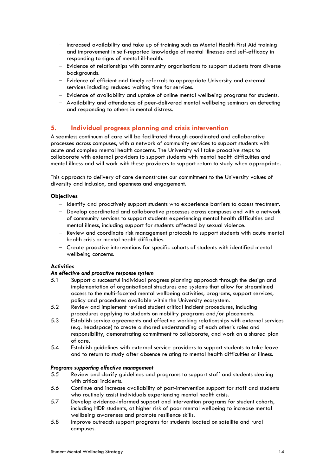- Increased availability and take up of training such as Mental Health First Aid training and improvement in self-reported knowledge of mental illnesses and self-efficacy in responding to signs of mental ill-health.
- Evidence of relationships with community organisations to support students from diverse backgrounds.
- Evidence of efficient and timely referrals to appropriate University and external services including reduced waiting time for services.
- Evidence of availability and uptake of online mental wellbeing programs for students.
- Availability and attendance of peer-delivered mental wellbeing seminars on detecting and responding to others in mental distress.

#### **5. Individual progress planning and crisis intervention**

A seamless continuum of care will be facilitated through coordinated and collaborative processes across campuses, with a network of community services to support students with acute and complex mental health concerns. The University will take proactive steps to collaborate with external providers to support students with mental health difficulties and mental illness and will work with these providers to support return to study when appropriate.

This approach to delivery of care demonstrates our commitment to the University values of diversity and inclusion, and openness and engagement.

#### **Objectives**

- Identify and proactively support students who experience barriers to access treatment.
- Develop coordinated and collaborative processes across campuses and with a network of community services to support students experiencing mental health difficulties and mental illness, including support for students affected by sexual violence.
- Review and coordinate risk management protocols to support students with acute mental health crisis or mental health difficulties.
- Create proactive interventions for specific cohorts of students with identified mental wellbeing concerns.

#### **Activities**

#### *An effective and proactive response system*

- 5.1 Support a successful individual progress planning approach through the design and implementation of organisational structures and systems that allow for streamlined access to the multi-faceted mental wellbeing activities, programs, support services, policy and procedures available within the University ecosystem.
- 5.2 Review and implement revised student critical incident procedures, including procedures applying to students on mobility programs and/or placements.
- 5.3 Establish service agreements and effective working relationships with external services (e.g. headspace) to create a shared understanding of each other's roles and responsibility, demonstrating commitment to collaborate, and work on a shared plan of care.
- 5.4 Establish guidelines with external service providers to support students to take leave and to return to study after absence relating to mental health difficulties or illness.

#### *Programs supporting effective management*

- 5.5 Review and clarify guidelines and programs to support staff and students dealing with critical incidents.
- 5.6 Continue and increase availability of post-intervention support for staff and students who routinely assist individuals experiencing mental health crisis.
- 5.7 Develop evidence-informed support and intervention programs for student cohorts, including HDR students, at higher risk of poor mental wellbeing to increase mental wellbeing awareness and promote resilience skills.
- 5.8 Improve outreach support programs for students located on satellite and rural campuses.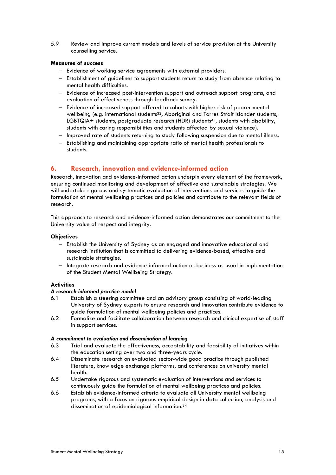5.9 Review and improve current models and levels of service provision at the University counselling service.

#### **Measures of success**

- Evidence of working service agreements with external providers.
- Establishment of guidelines to support students return to study from absence relating to mental health difficulties.
- Evidence of increased post-intervention support and outreach support programs, and evaluation of effectiveness through feedback survey.
- Evidence of increased support offered to cohorts with higher risk of poorer mental wellbeing (e.g. international students<sup>32</sup>, Aboriginal and Torres Strait Islander students, LGBTQIA+ students, postgraduate research (HDR) students<sup>45</sup>, students with disability, students with caring responsibilities and students affected by sexual violence).
- Improved rate of students returning to study following suspension due to mental illness.
- Establishing and maintaining appropriate ratio of mental health professionals to students.

#### **6. Research, innovation and evidence-informed action**

Research, innovation and evidence-informed action underpin every element of the framework, ensuring continued monitoring and development of effective and sustainable strategies. We will undertake rigorous and systematic evaluation of interventions and services to guide the formulation of mental wellbeing practices and policies and contribute to the relevant fields of research.

This approach to research and evidence-informed action demonstrates our commitment to the University value of respect and integrity.

#### **Objectives**

- Establish the University of Sydney as an engaged and innovative educational and research institution that is committed to delivering evidence-based, effective and sustainable strategies.
- Integrate research and evidence-informed action as business-as-usual in implementation of the Student Mental Wellbeing Strategy.

#### **Activities**

#### *A research-informed practice model*

- 6.1 Establish a steering committee and an advisory group consisting of world-leading University of Sydney experts to ensure research and innovation contribute evidence to guide formulation of mental wellbeing policies and practices.
- 6.2 Formalize and facilitate collaboration between research and clinical expertise of staff in support services.

#### *A commitment to evaluation and dissemination of learning*

- 6.3 Trial and evaluate the effectiveness, acceptability and feasibility of initiatives within the education setting over two and three-years cycle.
- 6.4 Disseminate research on evaluated sector-wide good practice through published literature, knowledge exchange platforms, and conferences on university mental health.
- 6.5 Undertake rigorous and systematic evaluation of interventions and services to continuously guide the formulation of mental wellbeing practices and policies.
- 6.6 Establish evidence-informed criteria to evaluate all University mental wellbeing programs, with a focus on rigorous empirical design in data collection, analysis and dissemination of epidemiological information. 34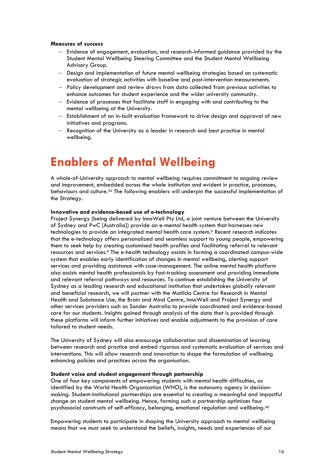#### **Measures of success**

- Evidence of engagement, evaluation, and research-informed guidance provided by the Student Mental Wellbeing Steering Committee and the Student Mental Wellbeing Advisory Group.
- Design and implementation of future mental wellbeing strategies based on systematic evaluation of strategic activities with baseline and post-intervention measurements.
- Policy development and review draws from data collected from previous activities to enhance outcomes for student experience and the wider university community.
- Evidence of processes that facilitate staff in engaging with and contributing to the mental wellbeing at the University.
- Establishment of an in-built evaluation framework to drive design and approval of new initiatives and programs.
- Recognition of the University as a leader in research and best practice in mental wellbeing.

### **Enablers of Mental Wellbeing**

A whole-of-University approach to mental wellbeing requires commitment to ongoing review and improvement, embedded across the whole institution and evident in practice, processes, behaviours and culture. <sup>34</sup> The following enablers will underpin the successful implementation of the Strategy.

#### **Innovative and evidence-based use of e-technology**

Project Synergy (being delivered by InnoWell Pty Ltd, a joint venture between the University of Sydney and PwC [Australia]) provide an e-mental health system that harnesses new technologies to provide an integrated mental health care system.<sup>9</sup> Recent research indicates that the e-technology offers personalized and seamless support to young people, empowering them to seek help by creating customised health profiles and facilitating referral to relevant resources and services.<sup>9</sup> The e-health technology assists in forming a coordinated campus-wide system that enables early identification of changes in mental wellbeing, alerting support services and providing assistance with case-management. The online mental health platform also assists mental health professionals by fast-tracking assessment and providing immediate and relevant referral pathways and resources. To continue establishing the University of Sydney as a leading research and educational institution that undertakes globally relevant and beneficial research, we will partner with the Matilda Centre for Research in Mental Health and Substance Use, the Brain and Mind Centre, InnoWell and Project Synergy and other services providers such as Sonder Australia to provide coordinated and evidence-based care for our students. Insights gained through analysis of the data that is provided through these platforms will inform further initiatives and enable adjustments to the provision of care tailored to student needs.

The University of Sydney will also encourage collaboration and dissemination of learning between research and practice and embed rigorous and systematic evaluation of services and interventions. This will allow research and innovation to shape the formulation of wellbeing enhancing policies and practices across the organisation.

#### **Student voice and student engagement through partnership**

One of four key components of empowering students with mental health difficulties, as identified by the World Health Organisation (WHO), is the autonomy agency in decisionmaking. Student-institutional partnerships are essential to creating a meaningful and impactful change on student mental wellbeing. Hence, forming such a partnership optimizes four psychosocial constructs of self-efficacy, belonging, emotional regulation and wellbeing.<sup>46</sup>

Empowering students to participate in shaping the University approach to mental wellbeing means that we must seek to understand the beliefs, insights, needs and experiences of our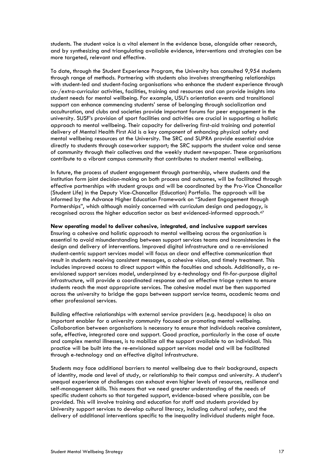students. The student voice is a vital element in the evidence base, alongside other research, and by synthesizing and triangulating available evidence, interventions and strategies can be more targeted, relevant and effective.

To date, through the Student Experience Program, the University has consulted 9,954 students through range of methods. Partnering with students also involves strengthening relationships with student-led and student-facing organisations who enhance the student experience through co-/extra-curricular activities, facilities, training and resources and can provide insights into student needs for mental wellbeing. For example, USU's orientation events and transitional support can enhance commencing students' sense of belonging through socialization and acculturation, and clubs and societies provide important forums for peer engagement in the university. SUSF's provision of sport facilities and activities are crucial in supporting a holistic approach to mental wellbeing. Their capacity for delivering first-aid training and potential delivery of Mental Health First Aid is a key component of enhancing physical safety and mental wellbeing resources at the University. The SRC and SUPRA provide essential advice directly to students through caseworker support; the SRC supports the student voice and sense of community through their collectives and the weekly student newspaper. These organisations contribute to a vibrant campus community that contributes to student mental wellbeing.

In future, the process of student engagement through partnership, where students and the institution form joint decision-making on both process and outcomes, will be facilitated through effective partnerships with student groups and will be coordinated by the Pro-Vice Chancellor (Student Life) in the Deputy Vice-Chancellor (Education) Portfolio. The approach will be informed by the Advance Higher Education Framework on "Student Engagement through Partnerships", which although mainly concerned with curriculum design and pedagogy, is recognised across the higher education sector as best evidenced-informed approach.<sup>47</sup>

#### **New operating model to deliver cohesive, integrated, and inclusive support services**

Ensuring a cohesive and holistic approach to mental wellbeing across the organisation is essential to avoid misunderstanding between support services teams and inconsistencies in the design and delivery of interventions. Improved digital infrastructure and a re-envisioned student-centric support services model will focus on clear and effective communication that result in students receiving consistent messages, a cohesive vision, and timely treatment. This includes improved access to direct support within the faculties and schools. Additionally, a reenvisioned support services model, underpinned by e-technology and fit-for-purpose digital infrastructure, will provide a coordinated response and an effective triage system to ensure students reach the most appropriate services. The cohesive model must be then supported across the university to bridge the gaps between support service teams, academic teams and other professional services.

Building effective relationships with external service providers (e.g. headspace) is also an important enabler for a university community focused on promoting mental wellbeing. Collaboration between organisations is necessary to ensure that individuals receive consistent, safe, effective, integrated care and support. Good practice, particularly in the case of acute and complex mental illnesses, is to mobilize all the support available to an individual. This practice will be built into the re-envisioned support services model and will be facilitated through e-technology and an effective digital infrastructure.

Students may face additional barriers to mental wellbeing due to their background, aspects of identity, mode and level of study, or relationship to their campus and university. A student's unequal experience of challenges can exhaust even higher levels of resources, resilience and self-management skills. This means that we need greater understanding of the needs of specific student cohorts so that targeted support, evidence-based where possible, can be provided. This will involve training and education for staff and students provided by University support services to develop cultural literacy, including cultural safety, and the delivery of additional interventions specific to the inequality individual students might face.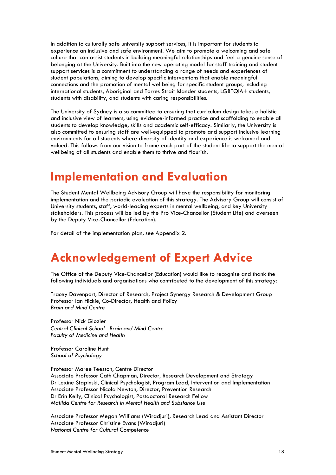In addition to culturally safe university support services, it is important for students to experience an inclusive and safe environment. We aim to promote a welcoming and safe culture that can assist students in building meaningful relationships and feel a genuine sense of belonging at the University. Built into the new operating model for staff training and student support services is a commitment to understanding a range of needs and experiences of student populations, aiming to develop specific interventions that enable meaningful connections and the promotion of mental wellbeing for specific student groups, including international students, Aboriginal and Torres Strait Islander students, LGBTQIA+ students, students with disability, and students with caring responsibilities.

The University of Sydney is also committed to ensuring that curriculum design takes a holistic and inclusive view of learners, using evidence-informed practice and scaffolding to enable all students to develop knowledge, skills and academic self-efficacy. Similarly, the University is also committed to ensuring staff are well-equipped to promote and support inclusive learning environments for all students where diversity of identity and experience is welcomed and valued. This follows from our vision to frame each part of the student life to support the mental wellbeing of all students and enable them to thrive and flourish.

### **Implementation and Evaluation**

The Student Mental Wellbeing Advisory Group will have the responsibility for monitoring implementation and the periodic evaluation of this strategy. The Advisory Group will consist of University students, staff, world-leading experts in mental wellbeing, and key University stakeholders. This process will be led by the Pro Vice-Chancellor (Student Life) and overseen by the Deputy Vice-Chancellor (Education).

For detail of the implementation plan, see Appendix 2.

### **Acknowledgement of Expert Advice**

The Office of the Deputy Vice-Chancellor (Education) would like to recognise and thank the following individuals and organisations who contributed to the development of this strategy:

Tracey Davenport, Director of Research, Project Synergy Research & Development Group Professor Ian Hickie, Co-Director, Health and Policy *Brain and Mind Centre*

Professor Nick Glozier *Central Clinical School | Brain and Mind Centre Faculty of Medicine and Health*

Professor Caroline Hunt *School of Psychology*

Professor Maree Teesson, Centre Director Associate Professor Cath Chapman, Director, Research Development and Strategy Dr Lexine Stapinski, Clinical Psychologist, Program Lead, Intervention and Implementation Associate Professor Nicola Newton, Director, Prevention Research Dr Erin Kelly, Clinical Psychologist, Postdoctoral Research Fellow *Matilda Centre for Research in Mental Health and Substance Use*

Associate Professor Megan Williams (Wiradjuri), Research Lead and Assistant Director Associate Professor Christine Evans (Wiradjuri) *National Centre for Cultural Competence*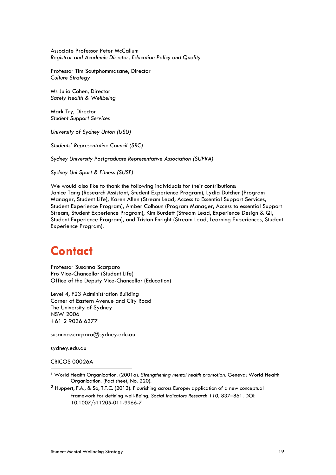Associate Professor Peter McCallum *Registrar and Academic Director, Education Policy and Quality*

Professor Tim Soutphommasane, Director *Culture Strategy*

Ms Julia Cohen, Director *Safety Health & Wellbeing*

Mark Try, Director *Student Support Services*

*University of Sydney Union (USU)*

*Students' Representative Council (SRC)*

*Sydney University Postgraduate Representative Association (SUPRA)*

*Sydney Uni Sport & Fitness (SUSF)*

We would also like to thank the following individuals for their contributions: Janice Tang (Research Assistant, Student Experience Program), Lydia Dutcher (Program Manager, Student Life), Karen Allen (Stream Lead, Access to Essential Support Services, Student Experience Program), Amber Colhoun (Program Manager, Access to essential Support Stream, Student Experience Program), Kim Burdett (Stream Lead, Experience Design & QI, Student Experience Program), and Tristan Enright (Stream Lead, Learning Experiences, Student Experience Program).

### **Contact**

Professor Susanna Scarparo Pro Vice-Chancellor (Student Life) Office of the Deputy Vice-Chancellor (Education)

Level 4, F23 Administration Building Corner of Eastern Avenue and City Road The University of Sydney NSW 2006 +61 2 9036 6377

susanna.scarparo@sydney.edu.au

sydney.edu.au

CRICOS 00026A

<sup>1</sup> World Health Organization. (2001a). *Strengthening mental health promotion.* Geneva: World Health Organization. (Fact sheet, No. 220).

<sup>2</sup> Huppert, F.A., & So, T.T.C. (2013). Flourishing across Europe: application of a new conceptual framework for defining well-Being. Social Indicators Research 110, 837-861. DOI: 10.1007/s11205-011-9966-7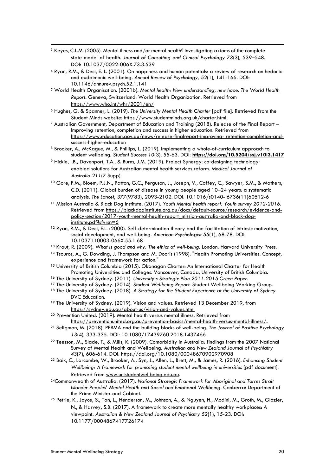- <sup>3</sup> Keyes, C.L.M. (2005). Mental illness and/or mental health? Investigating axioms of the complete state model of health*. Journal of Consulting and Clinical Psychology 73*(3), 539–548. DOI: 10.1037/0022-006X.73.3.539
- <sup>4</sup> Ryan, R.M., & Deci, E. L. (2001). On happiness and human potentials: a review of research on hedonic and eudaimonic well-being. *Annual Review of Psychology, 52*(1), 141-166. DOI: 10.1146/annurev.psych.52.1.141
- <sup>5</sup> World Health Organisation. (2001b). *Mental health: New understanding, new hope. The World Health Report*. Geneva, Switzerland: World Health Organization. Retrieved from https://www.who.int/whr/2001/en/
- <sup>6</sup> Hughes, G. & Spanner, L. (2019). *The University Mental Health Charter* [pdf file]. Retrieved from the Student Minds website: https://www.studentminds.org.uk/charter.html.
- $7$  Australian Government, Department of Education and Training (2018). Release of the Final Report Improving retention, completion and success in higher education*.* Retrieved from https://www.education.gov.au/news/release-finalreport-improving- retention-completion-andsuccess-higher-education
- <sup>8</sup> Brooker, A., McKague, M., & Phillips, L. (2019). Implementing a whole-of-curriculum approach to student wellbeing. *Student Success 10*(3), 55-63. DOI: **https://doi.org/10.5204/ssj.v10i3.1417**
- <sup>9</sup> Hickie, I.B., Davenport, T.A., & Burns, J.M. (2019). Project Synergy: co-designing technologyenabled solutions for Australian mental health services reform. *Medical Journal of Australia 211*(7 Supp).
- <sup>10</sup> Gore, F.M., Bloem, P.J.N., Patton, G.C., Ferguson, J., Joseph, V., Coffey, C., Sawyer, S.M., & Mathers, C.D. (2011). Global burden of disease in young people aged 10–24 years: a systematic analysis. *The Lancet*, *377*(9783), 2093-2102. DOI: 10.1016/s0140- 6736(11)60512-6
- <sup>11</sup> Mission Australia & Black Dog Institute. (2017). *Youth Mental health report: Youth survey 2012-2016*. Retrieved from https://blackdoginstitute.org.au/docs/default-source/research/evidence-andpolicy-section/2017-youth-mental-health-report\_mission-australia-and-black-doginstitute.pdf?sfvrsn=6
- <sup>12</sup> Ryan, R.M., & Deci, E.L. (2000). Self-determination theory and the facilitation of intrinsic motivation, social development, and well-being. *American Psychologist 55*(1), 68-78. DOI: 10.1037110003-066X.55.1.68
- <sup>13</sup> Kraut, R. (2009). *What is good and why: The ethics of well-being*. London: Harvard University Press.
- <sup>14</sup> Tsouros, A., G. Dowding, J. Thompson and M. Dooris (1998). "Health Promoting Universities: Concept, experience and framework for action."
- <sup>15</sup> University of British Columbia (2015). Okanagan Charter: An International Charter for Health Promoting Universities and Colleges. Vancouver, Canada, University of British Columbia.
- <sup>16</sup> The University of Sydney. (2011). *University's Strategic Plan 2011-2015 Green Paper.*
- <sup>17</sup> The University of Sydney. (2014). *Student Wellbeing Report*. Student Wellbeing Working Group.
- <sup>18</sup> The University of Sydney. (2018). A Strategy for the Student Experience at the University of Sydney. DVC Education.
- <sup>19</sup> The University of Sydney. (2019). Vision and values. Retrieved 13 December 2019, from https://sydney.edu.au/about-us/vision-and-values.html
- <sup>20</sup> Prevention United. (2019). Mental health versus mental illness. Retrieved from https://preventionunited.org.au/prevention-basics/mental-health-versus-mental-illness/**.**
- <sup>21</sup> Seligman, M. (2018). PERMA and the building blocks of well-being. *The Journal of Positive Psychology 13*(4), 333-335. DOI: 10.1080/17439760.2018.1437466
- <sup>22</sup> Teesson, M., Slade, T., & Mills, K. (2009). Comorbidity in Australia: findings from the 2007 National Survey of Mental Health and Wellbeing. *Australian and New Zealand Journal of Psychiatry 43*(7), 606-614. DOI: https://doi.org/10.1080/00048670902970908
- <sup>23</sup> Baik, C., Larcombe, W., Brooker, A., Syn, J., Allen, L., Brett, M., & James, R. (2016). *Enhancing Student*  Wellbeing: A framework for promoting student mental wellbeing in universities [pdf document]. Retrieved from www.unistudentwellbeing.edu.au.
- <sup>24</sup>Commonwealth of Australia. (2017). *National Strategic Framework for Aboriginal and Torres Strait Islander Peoples' Mental Health and Social and Emotional Wellbeing.* Canberra: Department of the Prime Minister and Cabinet.
- <sup>25</sup> Petrie, K., Joyce, S., Tan, L., Henderson, M., Johnson, A., & Nguyen, H., Modini, M., Groth, M., Glozier, N., & Harvey, S.B. (2017). A framework to create more mentally healthy workplaces: A viewpoint. *Australian & New Zealand Journal of Psychiatry 52*(1), 15-23. DOI: 10.1177/0004867417726174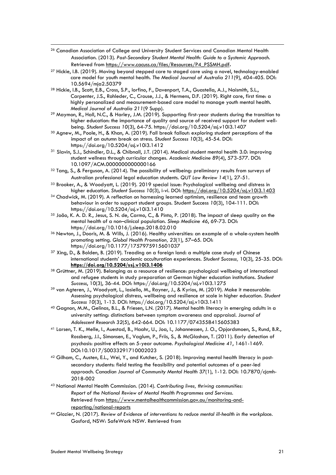- <sup>26</sup> Canadian Association of College and University Student Services and Canadian Mental Health Association. (2013). *Post-Secondary Student Mental Health: Guide to a Systemic Approach.* Retrieved from https://www.cacuss.ca/files/Resources/P4\_PSSMH.pdf**.**
- <sup>27</sup> Hickie, I.B. (2019). Moving beyond stepped care to staged care using a novel, technology-enabled care model for youth mental health. *The Medical Journal of Australia 211*(9), 404-405. DOI: 10.5694/mja2.50379
- <sup>28</sup> Hickie, I.B., Scott, E.B., Cross, S.P., Iorfino, F., Davenport, T.A., Guastella, A.J., Naismith, S.L., Carpenter, J.S., Rohleder, C., Crouse, J.J., & Hermens, D.F. (2019). Right care, first time: a highly personalized and measurement-based care model to manage youth mental health. *Medical Journal of Australia 211*(9 Supp).
- <sup>29</sup> Maymon, R., Hall, N.C., & Harley, J.M. (2019). Supporting first-year students during the transition to higher education: the importance of quality and source of received support for student wellbeing. *Student Success 10*(3), 64-75. https://doi.org/10.5204/ssj.v10i3.1407
- <sup>30</sup> Agnew, M., Poole, H., & Khan, A. (2019). Fall break fallout: exploring student perceptions of the impact of an autumn break on stress. *Student Success 10*(3), 45-54. DOI: https://doi.org/10.5204/ssj.v10i3.1412
- <sup>31</sup> Slavin, S.J., Schindler, D.L., & Chibnall, J.T. (2014). Medical student mental health 3.0: improving student wellness through curricular changes. *Academic Medicine 89*(4), 573-577. DOI: 10.1097/ACM.0000000000000166
- 32 Tang, S., & Ferguson, A. (2014). The possibility of wellbeing: preliminary results from surveys of Australian professional legal education students. *QUT Law Review 14*(1), 27-51.
- <sup>33</sup> Brooker, A., & Woodyatt, L. (2019). 2019 special issue: Psychological wellbeing and distress in higher education. *Student Success 10*(3), i-vi. DOI: https://doi.org/10.5204/ssj.v10i3.1403
- 34 Chadwick, M. (2019). A reflection on harnessing learned optimism, resilience and team growth behaviour in order to support student groups. Student Success *10*(3), 104-111. DOI: https://doi.org/10.5204/ssj.v10i3.1410
- <sup>35</sup> João, K. A. D. R., Jesus, S. N. de, Carmo, C., & Pinto, P. (2018). The impact of sleep quality on the mental health of a non–clinical population. *Sleep Medicine 46*, 69-73. DOI: https://doi.org/10.1016/j.sleep.2018.02.010
- <sup>36</sup> Newton, J., Dooris, M. & Wills, J. (2016). Healthy universities: an example of a whole-system health promoting setting. *Global Health Promotion, 23*(1), 57–65. DOI: https://doi.org/10.1177/1757975915601037
- <sup>37</sup> Xing, D., & Bolden, B. (2019). Treading on a foreign land: a multiple case study of Chinese international students' academic acculturation experiences. *Student Success,* 10(3), 25-35. DOI: **https://doi.org/10.5204/ssj.v10i3.1406**
- <sup>38</sup> Grüttner, M. (2019). Belonging as a resource of resilience: psychological wellbeing of international and refugee students in study preparation at German higher education institutions. *Student Success*, 10(3), 36-44. DOI: https://doi.org/10.5204/ssj.v10i3.1275
- <sup>39</sup> van Agteren, J., Woodyatt, L., Iasiello, M., Rayner, J., & Kyrios, M. (2019). Make it measurable: Assessing psychological distress, wellbeing and resilience at scale in higher education*. Student Success 10*(3), 1-13. DOI: https://doi.org/10.5204/ssj.v10i3.1411
- <sup>40</sup> Gagnon, M.M., Gelinas, B.L., & Friesen, L.N. (2017). Mental health literacy in emerging adults in a university setting: distinctions between symptom awareness and appraisal. *Journal of Adolescent Research 32*(5), 642-664. DOI: 10.1177/0743558415605383
- <sup>41</sup> Larsen, T. K., Melle, I., Auestad, B., Haahr, U., Joa, I., Johannessen, J. O., Opjordsmoen, S., Rund, B.R., Rossberg, J.I., Simonsen, E., Vaglum, P., Friis, S., & McGlashan, T. (2011). Early detection of psychosis: positive effects on 5-year outcome. *Psychological Medicine 41*, 1461-1469. DOI:10.1017/S0033291710002023
- <sup>42</sup> Gilham, C., Austen, E.L., Wei, Y., and Kutcher, S. (2018). Improving mental health literacy in postsecondary students: field testing the feasibility and potential outcomes of a peer-led approach. *Canadian Journal of Community Mental Health 37*(1), 1-12. DOI: 10.7870/cjcmh-2018-002
- <sup>43</sup> National Mental Health Commission. (2014). *Contributing lives, thriving communities: Report of the National Review of Mental Health Programmes and Services*. Retrieved from https://www.mentalhealthcommission.gov.au/monitoring-andreporting/national-reports
- <sup>44</sup> Glozier, N. (2017). *Review of Evidence of interventions to reduce mental ill-health in the workplace.*  Gosford, NSW: SafeWork NSW. Retrieved from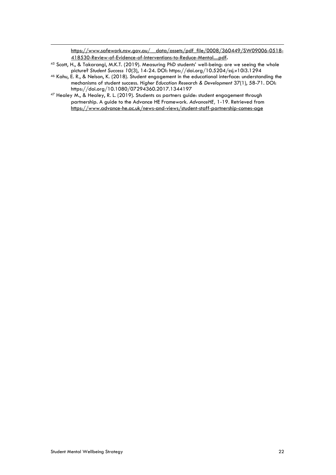https://www.safework.nsw.gov.au/\_data/assets/pdf\_file/0008/360449/SW09006-0518-418530-Review-of-Evidence-of-Interventions-to-Reduce-Mental....pdf**.**

- <sup>45</sup> Scott, H., & Takarangi, M.K.T. (2019). Measuring PhD students' well-being: are we seeing the whole picture? *Student Success 10*(3), 14-24. DOI: https://doi.org/10.5204/ssj.v10i3.1294
- <sup>46</sup> Kahu, E. R., & Nelson, K. (2018). Student engagement in the educational interface: understanding the mechanisms of student success. *Higher Education Research & Development* 37(1), 58-71. DOI: https://doi.org/10.1080/07294360.2017.1344197
- <sup>47</sup> Healey M., & Healey, R. L. (2019). Students as partners guide: student engagement through partnership. A guide to the Advance HE Framework. *AdvanceHE,* 1-19. Retrieved from https://www.advance-he.ac.uk/news-and-views/student-staff-partnership-comes-age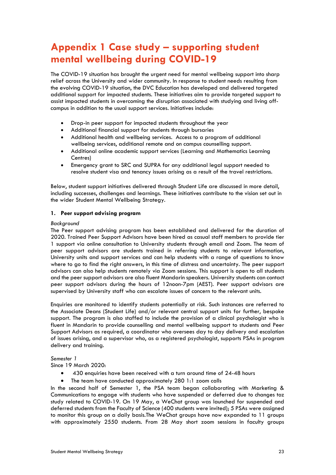### **Appendix 1 Case study – supporting student mental wellbeing during COVID-19**

The COVID-19 situation has brought the urgent need for mental wellbeing support into sharp relief across the University and wider community. In response to student needs resulting from the evolving COVID-19 situation, the DVC Education has developed and delivered targeted additional support for impacted students. These initiatives aim to provide targeted support to assist impacted students in overcoming the disruption associated with studying and living offcampus in addition to the usual support services. Initiatives include:

- Drop-in peer support for impacted students throughout the year
- Additional financial support for students through bursaries
- Additional health and wellbeing services. Access to a program of additional wellbeing services, additional remote and on campus counselling support.
- Additional online academic support services (Learning and Mathematics Learning Centres)
- Emergency grant to SRC and SUPRA for any additional legal support needed to resolve student visa and tenancy issues arising as a result of the travel restrictions.

Below, student support initiatives delivered through Student Life are discussed in more detail, including successes, challenges and learnings. These initiatives contribute to the vision set out in the wider Student Mental Wellbeing Strategy.

#### **1. Peer support advising program**

#### *Background*

The Peer support advising program has been established and delivered for the duration of 2020. Trained Peer Support Advisors have been hired as casual staff members to provide tier 1 support via online consultation to University students through email and Zoom. The team of peer support advisors are students trained in referring students to relevant information, University units and support services and can help students with a range of questions to know where to go to find the right answers, in this time of distress and uncertainty. The peer support advisors can also help students remotely via Zoom sessions. This support is open to all students and the peer support advisors are also fluent Mandarin speakers. University students can contact peer support advisors during the hours of 12noon-7pm (AEST). Peer support advisors are supervised by University staff who can escalate issues of concern to the relevant units.

Enquiries are monitored to identify students potentially at risk. Such instances are referred to the Associate Deans (Student Life) and/or relevant central support units for further, bespoke support. The program is also staffed to include the provision of a clinical psychologist who is fluent in Mandarin to provide counselling and mental wellbeing support to students and Peer Support Advisors as required, a coordinator who oversees day to day delivery and escalation of issues arising, and a supervisor who, as a registered psychologist, supports PSAs in program delivery and training.

*Semester 1*

Since 19 March 2020:

- 430 enquiries have been received with a turn around time of 24-48 hours
- The team have conducted approximately 280 1:1 zoom calls

In the second half of Semester 1, the PSA team began collaborating with Marketing & Communications to engage with students who have suspended or deferred due to changes toz study related to COVID-19. On 19 May, a WeChat group was launched for suspended and deferred students from the Faculty of Science (400 students were invited); 5 PSAs were assigned to monitor this group on a daily basis.The WeChat groups have now expanded to 11 groups with approximately 2550 students. From 28 May short zoom sessions in faculty groups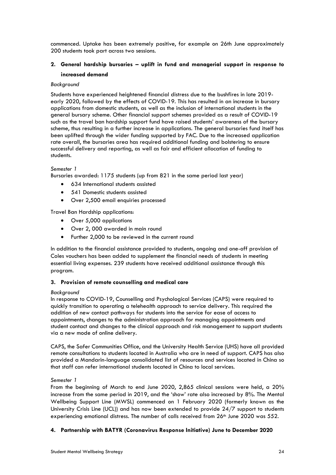commenced. Uptake has been extremely positive, for example on 26th June approximately 200 students took part across two sessions.

#### **2. General hardship bursaries – uplift in fund and managerial support in response to increased demand**

#### *Background*

Students have experienced heightened financial distress due to the bushfires in late 2019 early 2020, followed by the effects of COVID-19. This has resulted in an increase in bursary applications from domestic students, as well as the inclusion of international students in the general bursary scheme. Other financial support schemes provided as a result of COVID-19 such as the travel ban hardship support fund have raised students' awareness of the bursary scheme, thus resulting in a further increase in applications. The general bursaries fund itself has been uplifted through the wider funding supported by FAC. Due to the increased application rate overall, the bursaries area has required additional funding and bolstering to ensure successful delivery and reporting, as well as fair and efficient allocation of funding to students.

#### *Semester 1*

Bursaries awarded: 1175 students (up from 821 in the same period last year)

- 634 International students assisted
- 541 Domestic students assisted
- Over 2,500 email enquiries processed

Travel Ban Hardship applications:

- Over 5,000 applications
- Over 2, 000 awarded in main round
- Further 2,000 to be reviewed in the current round

In addition to the financial assistance provided to students, ongoing and one-off provision of Coles vouchers has been added to supplement the financial needs of students in meeting essential living expenses. 239 students have received additional assistance through this program.

#### **3. Provision of remote counselling and medical care**

#### *Background*

In response to COVID-19, Counselling and Psychological Services (CAPS) were required to quickly transition to operating a telehealth approach to service delivery. This required the addition of new contact pathways for students into the service for ease of access to appointments, changes to the administration approach for managing appointments and student contact and changes to the clinical approach and risk management to support students via a new mode of online delivery.

CAPS, the Safer Communities Office, and the University Health Service (UHS) have all provided remote consultations to students located in Australia who are in need of support. CAPS has also provided a Mandarin-language consolidated list of resources and services located in China so that staff can refer international students located in China to local services.

#### *Semester 1*

From the beginning of March to end June 2020, 2,865 clinical sessions were held, a 20% increase from the same period in 2019, and the 'show' rate also increased by 8%. The Mental Wellbeing Support Line (MWSL) commenced on 1 February 2020 (formerly known as the University Crisis Line (UCL)) and has now been extended to provide 24/7 support to students experiencing emotional distress. The number of calls received from 26<sup>th</sup> June 2020 was 552.

#### **4. Partnership with BATYR (Coronavirus Response Initiative) June to December 2020**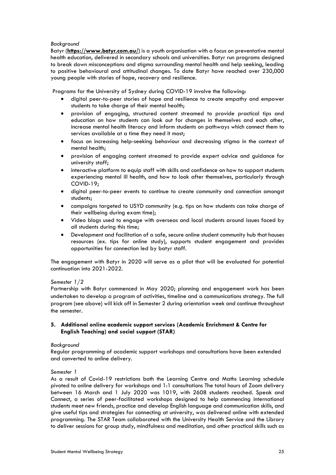#### *Background*

Batyr (**https://www.batyr.com.au/**) is a youth organisation with a focus on preventative mental health education, delivered in secondary schools and universities. Batyr run programs designed to break down misconceptions and stigma surrounding mental health and help seeking, leading to positive behavioural and attitudinal changes. To date Batyr have reached over 230,000 young people with stories of hope, recovery and resilience.

Programs for the University of Sydney during COVID-19 involve the following:

- digital peer-to-peer stories of hope and resilience to create empathy and empower students to take charge of their mental health;
- provision of engaging, structured content streamed to provide practical tips and education on how students can look out for changes in themselves and each other, increase mental health literacy and inform students on pathways which connect them to services available at a time they need it most;
- focus on increasing help-seeking behaviour and decreasing stigma in the context of mental health;
- provision of engaging content streamed to provide expert advice and guidance for university staff;
- interactive platform to equip staff with skills and confidence on how to support students experiencing mental ill health, and how to look after themselves, particularly through COVID-19;
- digital peer-to-peer events to continue to create community and connection amongst students;
- campaigns targeted to USYD community (e.g. tips on how students can take charge of their wellbeing during exam time);
- Video blogs used to engage with overseas and local students around issues faced by all students during this time;
- Development and facilitation of a safe, secure online student community hub that houses resources (ex. tips for online study), supports student engagement and provides opportunities for connection led by batyr staff.

The engagement with Batyr in 2020 will serve as a pilot that will be evaluated for potential continuation into 2021-2022.

#### *Semester 1/2*

Partnership with Batyr commenced in May 2020; planning and engagement work has been undertaken to develop a program of activities, timeline and a communications strategy. The full program (see above) will kick off in Semester 2 during orientation week and continue throughout the semester.

#### **5. Additional online academic support services (Academic Enrichment & Centre for English Teaching) and social support (STAR)**

#### *Background*

Regular programming of academic support workshops and consultations have been extended and converted to online delivery.

#### *Semester 1*

As a result of Covid-19 restrictions both the Learning Centre and Maths Learning schedule pivoted to online delivery for workshops and 1:1 consultations The total hours of Zoom delivery between 16 March and 1 July 2020 was 1019, with 2608 students reached. Speak and Connect, a series of peer-facilitated workshops designed to help commencing international students meet new friends, practice and develop English language and communication skills, and give useful tips and strategies for connecting at university, was delivered online with extended programming. The STAR Team collaborated with the University Health Service and the Library to deliver sessions for group study, mindfulness and meditation, and other practical skills such as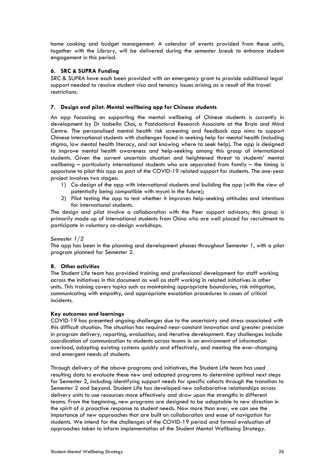home cooking and budget management. A calendar of events provided from these units, together with the Library, will be delivered during the semester break to enhance student engagement in this period.

#### **6. SRC & SUPRA Funding**

SRC & SUPRA have each been provided with an emergency grant to provide additional legal support needed to resolve student visa and tenancy issues arising as a result of the travel restrictions.

#### **7. Design and pilot: Mental wellbeing app for Chinese students**

An app focussing on supporting the mental wellbeing of Chinese students is currently in development by Dr Isabella Choi, a Postdoctoral Research Associate at the Brain and Mind Centre. The personalised mental health risk screening and feedback app aims to support Chinese international students with challenges faced in seeking help for mental health (including stigma, low mental health literacy, and not knowing where to seek help). The app is designed to improve mental health awareness and help-seeking among this group of international students. Given the current uncertain situation and heightened threat to students' mental wellbeing – particularly international students who are separated from family – the timing is opportune to pilot this app as part of the COVID-19 related support for students. The one-year project involves two stages:

- 1) Co-design of the app with international students and building the app (with the view of potentially being compatible with myuni in the future);
- 2) Pilot testing the app to test whether it improves help-seeking attitudes and intentions for international students.

The design and pilot involve a collaboration with the Peer support advisors; this group is primarily made up of international students from China who are well placed for recruitment to participate in voluntary co-design workshops.

#### *Semester 1/2*

The app has been in the planning and development phases throughout Semester 1, with a pilot program planned for Semester 2.

#### **8. Other activities**

The Student Life team has provided training and professional development for staff working across the initiatives in this document as well as staff working in related initiatives in other units. This training covers topics such as maintaining appropriate boundaries, risk mitigation, communicating with empathy, and appropriate escalation procedures in cases of critical incidents.

#### **Key outcomes and learnings**

COVID-19 has presented ongoing challenges due to the uncertainty and stress associated with this difficult situation. The situation has required near-constant innovation and greater precision in program delivery, reporting, evaluation, and iterative development. Key challenges include coordination of communication to students across teams in an environment of information overload, adapting existing systems quickly and effectively, and meeting the ever-changing and emergent needs of students.

Through delivery of the above programs and initiatives, the Student Life team has used resulting data to evaluate these new and adapted programs to determine optimal next steps for Semester 2, including identifying support needs for specific cohorts through the transition to Semester 2 and beyond. Student Life has developed new collaborative relationships across delivery units to use resources more effectively and draw upon the strengths in different teams. From the beginning, new programs are designed to be adaptable to new direction in the spirit of a proactive response to student needs. Now more than ever, we can see the importance of new approaches that are built on collaboration and ease of navigation for students. We intend for the challenges of the COVID-19 period and formal evaluation of approaches taken to inform implementation of the Student Mental Wellbeing Strategy.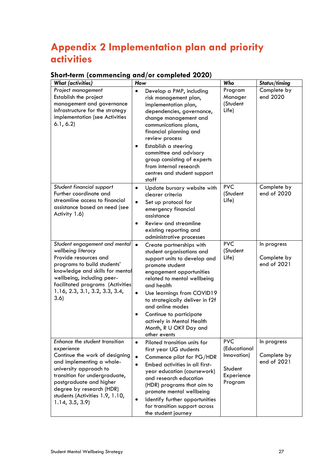### **Appendix 2 Implementation plan and priority activities**

### **Short-term (commencing and/or completed 2020)**

| <b>What (activities)</b>                                                                                                                                                                                                                                                           | How                                                                                                                                                                                                                                                                                                                                                                                                | Who                                                                           | Status/timing                             |
|------------------------------------------------------------------------------------------------------------------------------------------------------------------------------------------------------------------------------------------------------------------------------------|----------------------------------------------------------------------------------------------------------------------------------------------------------------------------------------------------------------------------------------------------------------------------------------------------------------------------------------------------------------------------------------------------|-------------------------------------------------------------------------------|-------------------------------------------|
| Project management<br>Establish the project<br>management and governance<br>infrastructure for the strategy<br>implementation (see Activities<br>6.1, 6.2                                                                                                                          | Develop a PMP, including<br>$\bullet$<br>risk management plan,<br>implementation plan,<br>dependencies, governance,<br>change management and<br>communications plans,<br>financial planning and<br>review process<br>Establish a steering<br>٠<br>committee and advisory<br>group consisting of experts<br>from internal research<br>centres and student support<br>staff                          | Program<br>Manager<br>(Student<br>Life)                                       | Complete by<br>end 2020                   |
| Student financial support<br>Further coordinate and<br>streamline access to financial<br>assistance based on need (see<br>Activity 1.6)                                                                                                                                            | Update bursary website with<br>$\bullet$<br>clearer criteria<br>$\bullet$<br>Set up protocol for<br>emergency financial<br>assistance<br>Review and streamline<br>existing reporting and<br>administrative processes                                                                                                                                                                               | <b>PVC</b><br>(Student<br>Life)                                               | Complete by<br>end of 2020                |
| Student engagement and mental<br>wellbeing literacy<br>Provide resources and<br>programs to build students'<br>knowledge and skills for mental<br>wellbeing, including peer-<br>facilitated programs (Activities<br>$1.16$ , $2.3$ , $3.1$ , $3.2$ , $3.3$ , $3.4$ ,<br>3.6)       | $\bullet$<br>Create partnerships with<br>student organisations and<br>support units to develop and<br>promote student<br>engagement opportunities<br>related to mental wellbeing<br>and health<br>Use learnings from COVID19<br>$\bullet$<br>to strategically deliver in f2f<br>and online modes<br>Continue to participate<br>actively in Mental Health<br>Month, R U OK? Day and<br>other events | <b>PVC</b><br>(Student<br>Life)                                               | In progress<br>Complete by<br>end of 2021 |
| Enhance the student transition<br>experience<br>Continue the work of designing<br>and implementing a whole-<br>university approach to<br>transition for undergraduate,<br>postgraduate and higher<br>degree by research (HDR)<br>students (Activities 1.9, 1.10,<br>1.14, 3.5, 3.9 | Piloted transition units for<br>$\bullet$<br>first year UG students<br>Commence pilot for PG/HDR<br>$\bullet$<br>Embed activities in all first-<br>$\bullet$<br>year education (coursework)<br>and research education<br>(HDR) programs that aim to<br>promote mental wellbeing<br>Identify further opportunities<br>for transition support across<br>the student journey                          | <b>PVC</b><br>(Educational<br>Innovation)<br>Student<br>Experience<br>Program | In progress<br>Complete by<br>end of 2021 |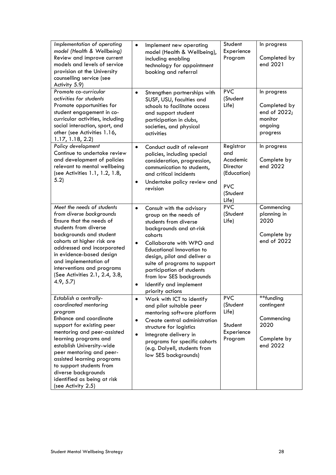| Implementation of operating<br>model (Health & Wellbeing)<br>Review and improve current<br>models and levels of service<br>provision at the University<br>counselling service (see<br>Activity 5.9)                                                                                                                                                                      | $\bullet$<br>Implement new operating<br>model (Health & Wellbeing),<br>including enabling<br>technology for appointment<br>booking and referral                                                                                                                                                                                                                                                | Student<br>Experience<br>Program                                                                  | In progress<br>Completed by<br>end 2021                                       |
|--------------------------------------------------------------------------------------------------------------------------------------------------------------------------------------------------------------------------------------------------------------------------------------------------------------------------------------------------------------------------|------------------------------------------------------------------------------------------------------------------------------------------------------------------------------------------------------------------------------------------------------------------------------------------------------------------------------------------------------------------------------------------------|---------------------------------------------------------------------------------------------------|-------------------------------------------------------------------------------|
| Promote co-curricular<br>activities for students<br>Promote opportunities for<br>student engagement in co-<br>curricular activities, including<br>social interaction, sport, and<br>other (see Activities 1.16,<br>1.17, 1.18, 2.2                                                                                                                                       | Strengthen partnerships with<br>$\bullet$<br>SUSF, USU, faculties and<br>schools to facilitate access<br>and support student<br>participation in clubs,<br>societies, and physical<br>activities                                                                                                                                                                                               | <b>PVC</b><br>(Student<br>Life)                                                                   | In progress<br>Completed by<br>end of 2022;<br>monitor<br>ongoing<br>progress |
| Policy development<br>Continue to undertake review<br>and development of policies<br>relevant to mental wellbeing<br>(see Activities 1.1, 1.2, 1.8,<br>5.2)                                                                                                                                                                                                              | Conduct audit of relevant<br>$\bullet$<br>policies, including special<br>consideration, progression,<br>communication to students,<br>and critical incidents<br>Undertake policy review and<br>٠<br>revision                                                                                                                                                                                   | Registrar<br>and<br>Academic<br><b>Director</b><br>(Education)<br><b>PVC</b><br>(Student<br>Life) | In progress<br>Complete by<br>end 2022                                        |
| Meet the needs of students<br>from diverse backgrounds<br>Ensure that the needs of<br>students from diverse<br>backgrounds and student<br>cohorts at higher risk are<br>addressed and incorporated<br>in evidence-based design<br>and implementation of<br>interventions and programs<br>(See Activities 2.1, 2.4, 3.8,<br>4.9, 5.7                                      | Consult with the advisory<br>$\bullet$<br>group on the needs of<br>students from diverse<br>backgrounds and at-risk<br>cohorts<br>Collaborate with WPO and<br>$\bullet$<br><b>Educational Innovation to</b><br>design, pilot and deliver a<br>suite of programs to support<br>participation of students<br>from low SES backgrounds<br>Identify and implement<br>$\bullet$<br>priority actions | <b>PVC</b><br>(Student<br>Life)                                                                   | Commencing<br>planning in<br>2020<br>Complete by<br>end of 2022               |
| Establish a centrally-<br>coordinated mentoring<br>program<br>Enhance and coordinate<br>support for existing peer<br>mentoring and peer-assisted<br>learning programs and<br>establish University-wide<br>peer mentoring and peer-<br>assisted learning programs<br>to support students from<br>diverse backgrounds<br>identified as being at risk<br>(see Activity 2.5) | Work with ICT to identify<br>$\bullet$<br>and pilot suitable peer<br>mentoring software platform<br>Create central administration<br>$\bullet$<br>structure for logistics<br>Integrate delivery in<br>$\bullet$<br>programs for specific cohorts<br>(e.g. Dalyell, students from<br>low SES backgrounds)                                                                                       | <b>PVC</b><br>(Student<br>Life)<br>Student<br>Experience<br>Program                               | **funding<br>contingent<br>Commencing<br>2020<br>Complete by<br>end 2022      |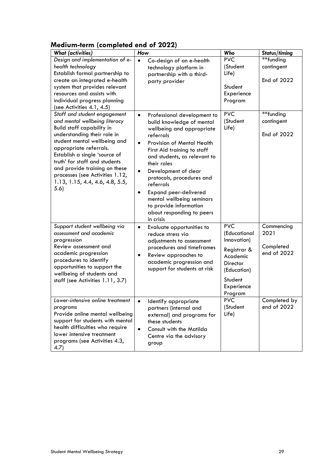### **Medium-term (completed end of 2022)**

| <b>What (activities)</b>                                                                                                                                                                                                                                                                                                                                                    | How                                                                                                                                                                                                                                                                                                                                                                                                                                                                   | Who                                                                                                                                 | Status/timing                                  |
|-----------------------------------------------------------------------------------------------------------------------------------------------------------------------------------------------------------------------------------------------------------------------------------------------------------------------------------------------------------------------------|-----------------------------------------------------------------------------------------------------------------------------------------------------------------------------------------------------------------------------------------------------------------------------------------------------------------------------------------------------------------------------------------------------------------------------------------------------------------------|-------------------------------------------------------------------------------------------------------------------------------------|------------------------------------------------|
| Design and implementation of e-<br>health technology<br>Establish formal partnership to<br>create an integrated e-health<br>system that provides relevant<br>resources and assists with<br>individual progress planning<br>(see Activities 4.1, 4.5)                                                                                                                        | $\bullet$<br>Co-design of an e-health<br>technology platform in<br>partnership with a third-<br>party provider                                                                                                                                                                                                                                                                                                                                                        | <b>PVC</b><br>(Student<br>Life)<br>Student<br>Experience<br>Program                                                                 | **funding<br>contingent<br>End of 2022         |
| Staff and student engagement<br>and mental wellbeing literacy<br><b>Build staff capability in</b><br>understanding their role in<br>student mental wellbeing and<br>appropriate referrals.<br>Establish a single 'source of<br>truth' for staff and students<br>and provide training on these<br>processes (see Activities 1.12,<br>1.13, 1.15, 4.4, 4.6, 4.8, 5.5,<br>5.6) | $\bullet$<br>Professional development to<br>build knowledge of mental<br>wellbeing and appropriate<br>referrals<br>Provision of Mental Health<br>$\bullet$<br>First Aid training to staff<br>and students, as relevant to<br>their roles<br>Development of clear<br>$\bullet$<br>protocols, procedures and<br>referrals<br><b>Expand peer-delivered</b><br>$\bullet$<br>mental wellbeing seminars<br>to provide information<br>about responding to peers<br>in crisis | <b>PVC</b><br>(Student<br>Life)                                                                                                     | **funding<br>contingent<br>End of 2022         |
| Support student wellbeing via<br>assessment and academic<br>progression<br>Review assessment and<br>academic progression<br>procedures to identify<br>opportunities to support the<br>wellbeing of students and<br>staff (see Activities 1.11, 3.7)                                                                                                                         | Evaluate opportunities to<br>$\bullet$<br>reduce stress via<br>adjustments to assessment<br>procedures and timeframes<br>Review approaches to<br>$\bullet$<br>academic progression and<br>support for students at risk                                                                                                                                                                                                                                                | <b>PVC</b><br>(Educational<br>Innovation)<br>Registrar &<br>Academic<br>Director<br>(Education)<br>Student<br>Experience<br>Program | Commencing<br>2021<br>Completed<br>end of 2022 |
| Lower-intensive online treatment<br>programs<br>Provide online mental wellbeing<br>support for students with mental<br>health difficulties who require<br>lower intensive treatment<br>programs (see Activities 4.3,<br>4.7)                                                                                                                                                | Identify appropriate<br>partners (internal and<br>external) and programs for<br>these students<br><b>Consult with the Matilda</b><br>$\bullet$<br>Centre via the advisory<br>group                                                                                                                                                                                                                                                                                    | <b>PVC</b><br>(Student<br>Life)                                                                                                     | Completed by<br>end of 2022                    |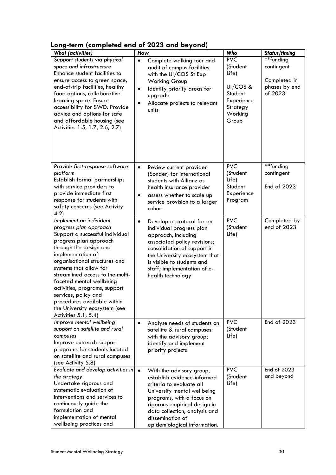### **Long-term (completed end of 2023 and beyond)**

| <b>What (activities)</b>                                                                                                                                                                                                                                                                                                                                                                                                                  | How                                                                                                                                                                                                                                                                               | Who                                                                                           | Status/timing                                                       |
|-------------------------------------------------------------------------------------------------------------------------------------------------------------------------------------------------------------------------------------------------------------------------------------------------------------------------------------------------------------------------------------------------------------------------------------------|-----------------------------------------------------------------------------------------------------------------------------------------------------------------------------------------------------------------------------------------------------------------------------------|-----------------------------------------------------------------------------------------------|---------------------------------------------------------------------|
| Support students via physical<br>space and infrastructure<br>Enhance student facilities to<br>ensure access to green space,<br>end-of-trip facilities, healthy<br>food options, collaborative<br>learning space. Ensure<br>accessibility for SWD. Provide<br>advice and options for safe<br>and affordable housing (see<br>Activities 1.5, 1.7, 2.6, 2.7)                                                                                 | $\bullet$<br>Complete walking tour and<br>audit of campus facilities<br>with the UI/COS St Exp<br><b>Working Group</b><br>Identify priority areas for<br>$\bullet$<br>upgrade<br>Allocate projects to relevant<br>$\bullet$<br>units                                              | PVC<br>(Student<br>Life)<br>UI/COS &<br>Student<br>Experience<br>Strategy<br>Working<br>Group | **funding<br>contingent<br>Completed in<br>phases by end<br>of 2023 |
| Provide first-response software<br>platform<br>Establish formal partnerships<br>with service providers to<br>provide immediate first<br>response for students with<br>safety concerns (see Activity<br>4.2)                                                                                                                                                                                                                               | $\bullet$<br>Review current provider<br>(Sonder) for international<br>students with Allianz as<br>health insurance provider<br>assess whether to scale up<br>$\bullet$<br>service provision to a larger<br>cohort                                                                 | <b>PVC</b><br>(Student<br>Life)<br>Student<br>Experience<br>Program                           | **funding<br>contingent<br>End of 2023                              |
| Implement an individual<br>progress plan approach<br>Support a successful individual<br>progress plan approach<br>through the design and<br>implementation of<br>organisational structures and<br>systems that allow for<br>streamlined access to the multi-<br>faceted mental wellbeing<br>activities, programs, support<br>services, policy and<br>procedures available within<br>the University ecosystem (see<br>Activities 5.1, 5.4) | $\bullet$<br>Develop a protocol for an<br>individual progress plan<br>approach, including<br>associated policy revisions;<br>consolidation of support in<br>the University ecosystem that<br>is visible to students and<br>staff; implementation of e-<br>health technology       | <b>PVC</b><br>(Student<br>Life)                                                               | Completed by<br>end of 2023                                         |
| Improve mental wellbeing<br>support on satellite and rural<br>campuses<br>Improve outreach support<br>programs for students located<br>on satellite and rural campuses<br>(see Activity 5.8)                                                                                                                                                                                                                                              | Analyse needs of students on<br>$\bullet$<br>satellite & rural campuses<br>with the advisory group;<br>identify and implement<br>priority projects                                                                                                                                | <b>PVC</b><br>(Student<br>Life)                                                               | End of 2023                                                         |
| Evaluate and develop activities in<br>the strategy<br>Undertake rigorous and<br>systematic evaluation of<br>interventions and services to<br>continuously guide the<br>formulation and<br>implementation of mental<br>wellbeing practices and                                                                                                                                                                                             | $\bullet$<br>With the advisory group,<br>establish evidence-informed<br>criteria to evaluate all<br>University mental wellbeing<br>programs, with a focus on<br>rigorous empirical design in<br>data collection, analysis and<br>dissemination of<br>epidemiological information. | <b>PVC</b><br>(Student<br>Life)                                                               | End of 2023<br>and beyond                                           |